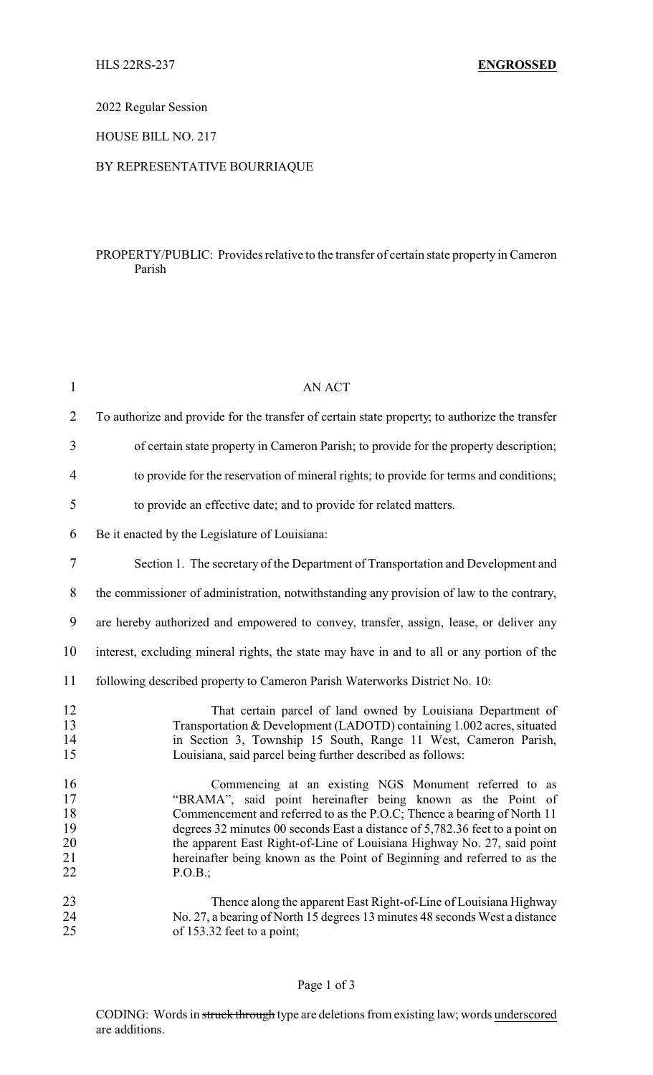2022 Regular Session

HOUSE BILL NO. 217

### BY REPRESENTATIVE BOURRIAQUE

### PROPERTY/PUBLIC: Provides relative to the transfer of certain state property in Cameron Parish

| $\mathbf{1}$                           | <b>AN ACT</b>                                                                                                                                                                                                                                                                                                                                                                                                                                     |
|----------------------------------------|---------------------------------------------------------------------------------------------------------------------------------------------------------------------------------------------------------------------------------------------------------------------------------------------------------------------------------------------------------------------------------------------------------------------------------------------------|
| $\overline{2}$                         | To authorize and provide for the transfer of certain state property, to authorize the transfer                                                                                                                                                                                                                                                                                                                                                    |
| 3                                      | of certain state property in Cameron Parish; to provide for the property description;                                                                                                                                                                                                                                                                                                                                                             |
| 4                                      | to provide for the reservation of mineral rights; to provide for terms and conditions;                                                                                                                                                                                                                                                                                                                                                            |
| 5                                      | to provide an effective date; and to provide for related matters.                                                                                                                                                                                                                                                                                                                                                                                 |
| 6                                      | Be it enacted by the Legislature of Louisiana:                                                                                                                                                                                                                                                                                                                                                                                                    |
| 7                                      | Section 1. The secretary of the Department of Transportation and Development and                                                                                                                                                                                                                                                                                                                                                                  |
| 8                                      | the commissioner of administration, notwithstanding any provision of law to the contrary,                                                                                                                                                                                                                                                                                                                                                         |
| 9                                      | are hereby authorized and empowered to convey, transfer, assign, lease, or deliver any                                                                                                                                                                                                                                                                                                                                                            |
| 10                                     | interest, excluding mineral rights, the state may have in and to all or any portion of the                                                                                                                                                                                                                                                                                                                                                        |
| 11                                     | following described property to Cameron Parish Waterworks District No. 10:                                                                                                                                                                                                                                                                                                                                                                        |
| 12<br>13<br>14<br>15                   | That certain parcel of land owned by Louisiana Department of<br>Transportation & Development (LADOTD) containing 1.002 acres, situated<br>in Section 3, Township 15 South, Range 11 West, Cameron Parish,<br>Louisiana, said parcel being further described as follows:                                                                                                                                                                           |
| 16<br>17<br>18<br>19<br>20<br>21<br>22 | Commencing at an existing NGS Monument referred to as<br>"BRAMA", said point hereinafter being known as the Point of<br>Commencement and referred to as the P.O.C; Thence a bearing of North 11<br>degrees 32 minutes 00 seconds East a distance of 5,782.36 feet to a point on<br>the apparent East Right-of-Line of Louisiana Highway No. 27, said point<br>hereinafter being known as the Point of Beginning and referred to as the<br>P.O.B.; |
| 23<br>24<br>25                         | Thence along the apparent East Right-of-Line of Louisiana Highway<br>No. 27, a bearing of North 15 degrees 13 minutes 48 seconds West a distance<br>of 153.32 feet to a point;                                                                                                                                                                                                                                                                    |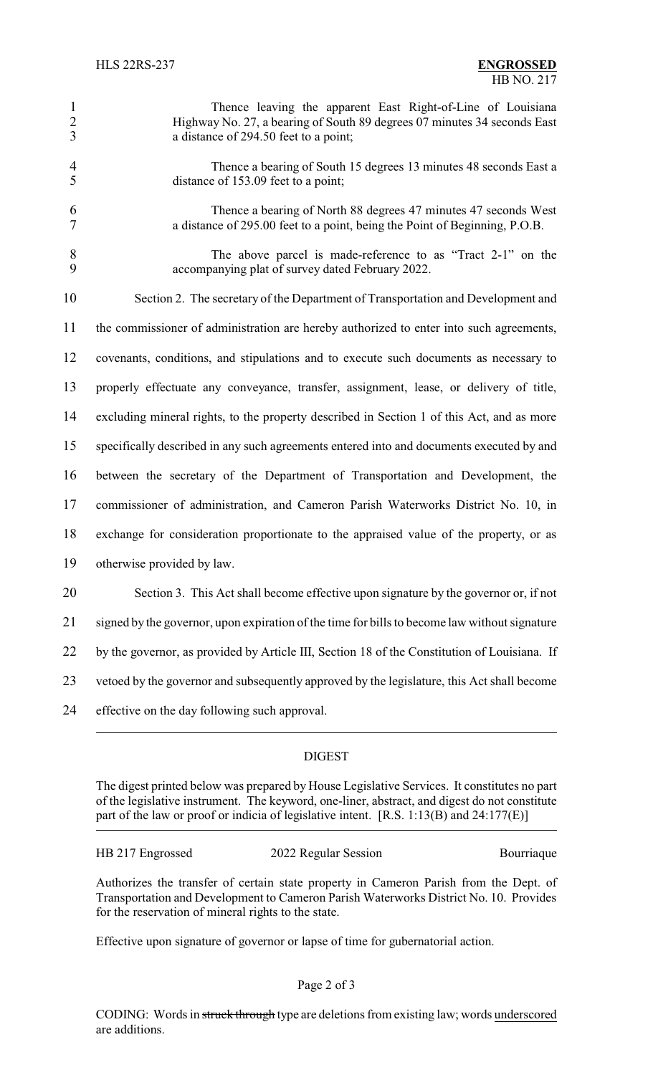| $\overline{1}$ | Thence leaving the apparent East Right-of-Line of Louisiana                                                                                   |
|----------------|-----------------------------------------------------------------------------------------------------------------------------------------------|
| 2              | Highway No. 27, a bearing of South 89 degrees 07 minutes 34 seconds East                                                                      |
| 3              | a distance of 294.50 feet to a point;                                                                                                         |
| $\overline{4}$ | Thence a bearing of South 15 degrees 13 minutes 48 seconds East a                                                                             |
| $\overline{5}$ | distance of 153.09 feet to a point;                                                                                                           |
| -6             | Thence a bearing of North 88 degrees 47 minutes 47 seconds West<br>a distance of 295.00 feet to a point, being the Point of Beginning, P.O.B. |

 The above parcel is made-reference to as "Tract 2-1" on the accompanying plat of survey dated February 2022.

Section 2. The secretary of the Department of Transportation and Development and

the commissioner of administration are hereby authorized to enter into such agreements,

covenants, conditions, and stipulations and to execute such documents as necessary to

properly effectuate any conveyance, transfer, assignment, lease, or delivery of title,

excluding mineral rights, to the property described in Section 1 of this Act, and as more

specifically described in any such agreements entered into and documents executed by and

between the secretary of the Department of Transportation and Development, the

commissioner of administration, and Cameron Parish Waterworks District No. 10, in

exchange for consideration proportionate to the appraised value of the property, or as

otherwise provided by law.

 Section 3. This Act shall become effective upon signature by the governor or, if not signed by the governor, upon expiration of the time for bills to become law without signature by the governor, as provided by Article III, Section 18 of the Constitution of Louisiana. If vetoed by the governor and subsequently approved by the legislature, this Act shall become

effective on the day following such approval.

# DIGEST

The digest printed below was prepared by House Legislative Services. It constitutes no part of the legislative instrument. The keyword, one-liner, abstract, and digest do not constitute part of the law or proof or indicia of legislative intent. [R.S. 1:13(B) and 24:177(E)]

HB 217 Engrossed 2022 Regular Session Bourriaque

Authorizes the transfer of certain state property in Cameron Parish from the Dept. of Transportation and Development to Cameron Parish Waterworks District No. 10. Provides for the reservation of mineral rights to the state.

Effective upon signature of governor or lapse of time for gubernatorial action.

# Page 2 of 3

CODING: Words in struck through type are deletions from existing law; words underscored are additions.